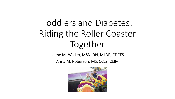# Toddlers and Diabetes: Riding the Roller Coaster Together

Jaime M. Walker, MSN, RN, MLDE, CDCES

Anna M. Roberson, MS, CCLS, CEIM

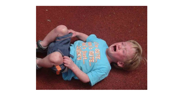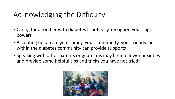### Acknowledging the Difficulty

- Caring for a toddler with diabetes is not easy, recognize your super powers
- Accepting help from your family, your community, your friends, or within the diabetes community can provide supports
- Speaking with other parents or guardians may help to lower anxieties and provide some helpful tips and tricks you have not tried.

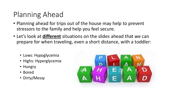### Planning Ahead

- Planning ahead for trips out of the house may help to prevent stressors to the family and help you feel secure.
- Let's look at **different** situations on the slides ahead that we can prepare for when traveling, even a short distance, with a toddler:
	- Lows: Hypoglycemia
	- Highs: Hyperglycemia
	- Hungry
	- Bored
	- Dirty/Messy

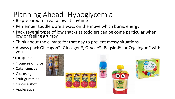## Planning Ahead- Hypoglycemia

- Be prepared to treat a low at anytime
- Remember toddlers are always on the move which burns energy
- Pack several types of low snacks as toddlers can be come particular when low or feeling grumpy
- Think about the climate for that day to prevent messy situations
- Always pack Glucagon®, Glucagen®, G-Voke®, Baqsimi®, or Zegalogue® with you

### Examples:

- 4 ounces of juice
- Cake icing/gel
- Glucose gel
- Fruit gummies
- Glucose shot
- Applesauce

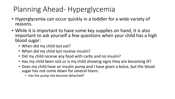### Planning Ahead- Hyperglycemia

- Hyperglycemia can occur quickly in a toddler for a wide variety of reasons.
- While it is important to have some key supplies on hand, it is also important to ask yourself a few questions when your child has a high blood sugar:
	- When did my child last eat?
	- When did my child last receive insulin?
	- Did my child receive any food with carbs and no insulin?
	- Has my child been sick or is my child showing signs they are becoming ill?
	- Does my child have an insulin pump and I have given a bolus, but the blood sugar has not come down for several hours.
		- Has the pump site become detached?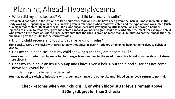### Planning Ahead- Hyperglycemia

#### • When did my child last eat? When did my child last receive insulin?

**If your child has eaten in the last one to two hours after food and insulin have been given, the insulin is most likely still in the body working. Depending on when insulin was given in relation to when food was eaten and the type of food consumed (such as a higher fat content, think of cheese), the blood sugar level may stay higher a little longer. Consider giving a bolus or injection of insulin to treat hyperglycemia before a meal if you need to give insulin for carbs after the meal (for example a child who grazes a little more or is particular). Make sure that the child is given no more than 30 minutes to eat their meal, then go ahead and give the insulin for the carbohydrates.** 

• Did my child receive any food with carbs and no insulin?

**Think back… Were any snacks with carbs eaten without insulin given? Toddlers often enjoy helping themselves to delicious snacks.** 

• Has my child been sick or is my child showing signs they are becoming ill?

**Illness can contribute to an increase in blood sugar levels leading to the need to monitor blood sugar levels and ketones more closely.** 

- Does my child have an insulin pump and I have given a bolus, but the blood sugar has not come down for several hours.
	- Has the pump site become detached?

**You may need to switch to injections with a pen and change the pump site until blood sugar levels return to normal.** 

#### **Check ketones when your child is ill, or when blood sugar levels remain above 250mg/dL greater than 2 checks.**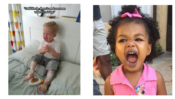

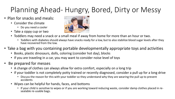### Planning Ahead- Hungry, Bored, Dirty or Messy

- Plan for snacks and meals:
	- Consider the climate
		- Do you need a cooler
	- Take a sippy cup or two



- Toddlers may need a snack or a small meal if away from home for more than an hour or two.
	- Toddlers with diabetes should always have snacks ready for a low, but to also stabilize blood sugar levels after they have recovered from the low.
- Take a bag with you containing portable developmentally appropriate toys and activities
	- Books, plastic dinosaurs, dolls, coloring (consider hot day), blocks
	- If you are traveling in a car, you may want to consider noise level of toys
- Be prepared for messes
	- A change of clothes can always allow for extra comfort, especially on a long trip
	- If your toddler is not completely potty trained or recently diagnosed, consider a pull up for a long drive
		- Discuss the reason for this with your toddler so they understand why they are wearing the pull up to prevent accidents
	- Wipes can be helpful for hands, faces, and bottoms
		- If your child is sensitive to wipes or if you are working toward reducing waste, consider damp clothes placed in re- sealable re-usable bags.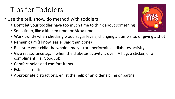### Tips for Toddlers

- Use the tell, show, do method with toddlers
	- Don't let your toddler have too much time to think about something
	- Set a timer, like a kitchen timer or Alexa timer
	- Work swiftly when checking blood sugar levels, changing a pump site, or giving a shot
	- Remain calm (I know, easier said than done)
	- Reassure your child the whole time you are performing a diabetes activity
	- Give reassurance again when the diabetes activity is over. A hug, a sticker, or a compliment, i.e. Good Job!
	- Comfort holds and comfort items
	- Establish routines
	- Appropriate distractions, enlist the help of an older sibling or partner